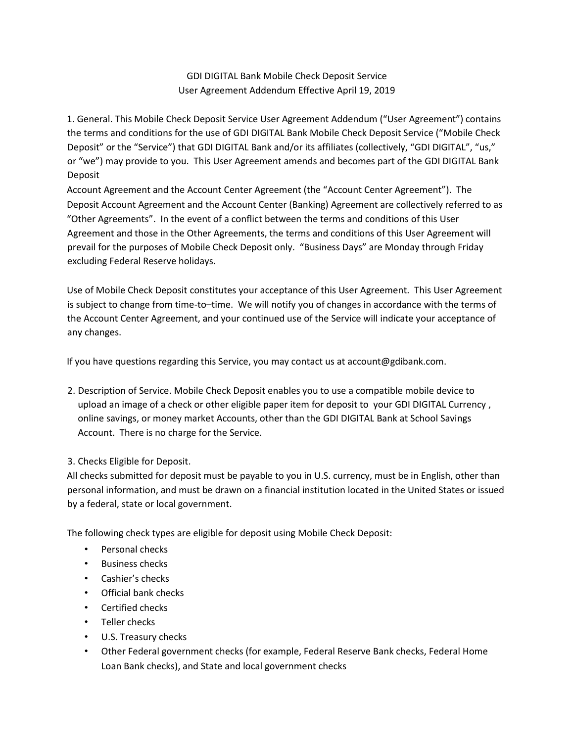GDI DIGITAL Bank Mobile Check Deposit Service User Agreement Addendum Effective April 19, 2019

1. General. This Mobile Check Deposit Service User Agreement Addendum ("User Agreement") contains the terms and conditions for the use of GDI DIGITAL Bank Mobile Check Deposit Service ("Mobile Check Deposit" or the "Service") that GDI DIGITAL Bank and/or its affiliates (collectively, "GDI DIGITAL", "us," or "we") may provide to you. This User Agreement amends and becomes part of the GDI DIGITAL Bank Deposit

Account Agreement and the Account Center Agreement (the "Account Center Agreement"). The Deposit Account Agreement and the Account Center (Banking) Agreement are collectively referred to as "Other Agreements". In the event of a conflict between the terms and conditions of this User Agreement and those in the Other Agreements, the terms and conditions of this User Agreement will prevail for the purposes of Mobile Check Deposit only. "Business Days" are Monday through Friday excluding Federal Reserve holidays.

Use of Mobile Check Deposit constitutes your acceptance of this User Agreement. This User Agreement is subject to change from time-to–time. We will notify you of changes in accordance with the terms of the Account Center Agreement, and your continued use of the Service will indicate your acceptance of any changes.

If you have questions regarding this Service, you may contact us at account@gdibank.com.

2. Description of Service. Mobile Check Deposit enables you to use a compatible mobile device to upload an image of a check or other eligible paper item for deposit to your GDI DIGITAL Currency , online savings, or money market Accounts, other than the GDI DIGITAL Bank at School Savings Account. There is no charge for the Service.

## 3. Checks Eligible for Deposit.

All checks submitted for deposit must be payable to you in U.S. currency, must be in English, other than personal information, and must be drawn on a financial institution located in the United States or issued by a federal, state or local government.

The following check types are eligible for deposit using Mobile Check Deposit:

- Personal checks
- Business checks
- Cashier's checks
- Official bank checks
- Certified checks
- Teller checks
- U.S. Treasury checks
- Other Federal government checks (for example, Federal Reserve Bank checks, Federal Home Loan Bank checks), and State and local government checks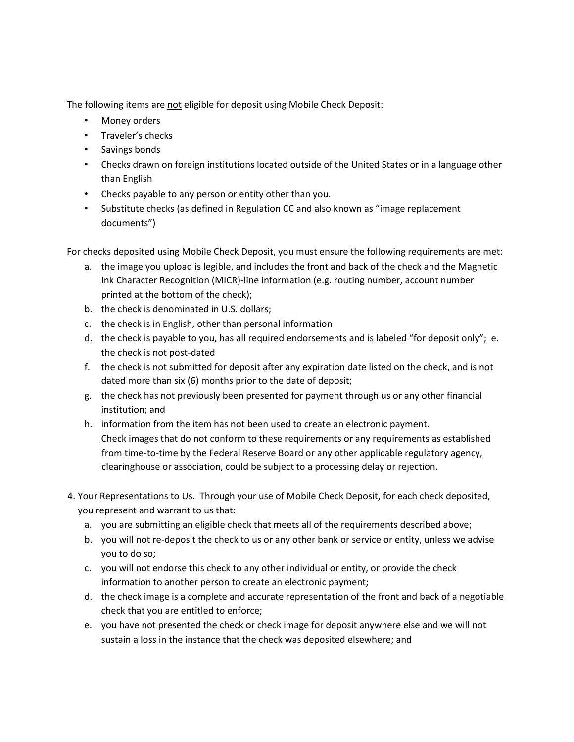The following items are not eligible for deposit using Mobile Check Deposit:

- Money orders
- Traveler's checks
- Savings bonds
- Checks drawn on foreign institutions located outside of the United States or in a language other than English
- Checks payable to any person or entity other than you.
- Substitute checks (as defined in Regulation CC and also known as "image replacement documents")

For checks deposited using Mobile Check Deposit, you must ensure the following requirements are met:

- a. the image you upload is legible, and includes the front and back of the check and the Magnetic Ink Character Recognition (MICR)-line information (e.g. routing number, account number printed at the bottom of the check);
- b. the check is denominated in U.S. dollars;
- c. the check is in English, other than personal information
- d. the check is payable to you, has all required endorsements and is labeled "for deposit only"; e. the check is not post-dated
- f. the check is not submitted for deposit after any expiration date listed on the check, and is not dated more than six (6) months prior to the date of deposit;
- g. the check has not previously been presented for payment through us or any other financial institution; and
- h. information from the item has not been used to create an electronic payment. Check images that do not conform to these requirements or any requirements as established from time-to-time by the Federal Reserve Board or any other applicable regulatory agency, clearinghouse or association, could be subject to a processing delay or rejection.
- 4. Your Representations to Us. Through your use of Mobile Check Deposit, for each check deposited, you represent and warrant to us that:
	- a. you are submitting an eligible check that meets all of the requirements described above;
	- b. you will not re-deposit the check to us or any other bank or service or entity, unless we advise you to do so;
	- c. you will not endorse this check to any other individual or entity, or provide the check information to another person to create an electronic payment;
	- d. the check image is a complete and accurate representation of the front and back of a negotiable check that you are entitled to enforce;
	- e. you have not presented the check or check image for deposit anywhere else and we will not sustain a loss in the instance that the check was deposited elsewhere; and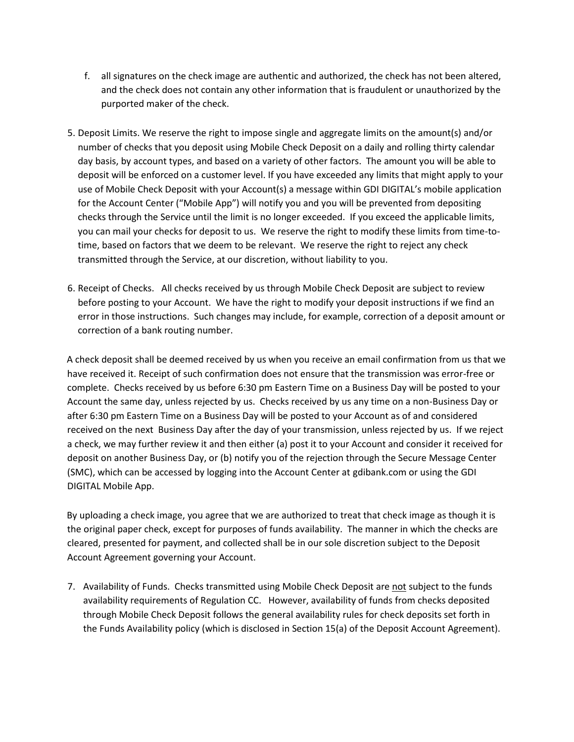- f. all signatures on the check image are authentic and authorized, the check has not been altered, and the check does not contain any other information that is fraudulent or unauthorized by the purported maker of the check.
- 5. Deposit Limits. We reserve the right to impose single and aggregate limits on the amount(s) and/or number of checks that you deposit using Mobile Check Deposit on a daily and rolling thirty calendar day basis, by account types, and based on a variety of other factors. The amount you will be able to deposit will be enforced on a customer level. If you have exceeded any limits that might apply to your use of Mobile Check Deposit with your Account(s) a message within GDI DIGITAL's mobile application for the Account Center ("Mobile App") will notify you and you will be prevented from depositing checks through the Service until the limit is no longer exceeded. If you exceed the applicable limits, you can mail your checks for deposit to us. We reserve the right to modify these limits from time-totime, based on factors that we deem to be relevant. We reserve the right to reject any check transmitted through the Service, at our discretion, without liability to you.
- 6. Receipt of Checks. All checks received by us through Mobile Check Deposit are subject to review before posting to your Account. We have the right to modify your deposit instructions if we find an error in those instructions. Such changes may include, for example, correction of a deposit amount or correction of a bank routing number.

A check deposit shall be deemed received by us when you receive an email confirmation from us that we have received it. Receipt of such confirmation does not ensure that the transmission was error-free or complete. Checks received by us before 6:30 pm Eastern Time on a Business Day will be posted to your Account the same day, unless rejected by us. Checks received by us any time on a non-Business Day or after 6:30 pm Eastern Time on a Business Day will be posted to your Account as of and considered received on the next Business Day after the day of your transmission, unless rejected by us. If we reject a check, we may further review it and then either (a) post it to your Account and consider it received for deposit on another Business Day, or (b) notify you of the rejection through the Secure Message Center (SMC), which can be accessed by logging into the Account Center at gdibank.com or using the GDI DIGITAL Mobile App.

By uploading a check image, you agree that we are authorized to treat that check image as though it is the original paper check, except for purposes of funds availability. The manner in which the checks are cleared, presented for payment, and collected shall be in our sole discretion subject to the Deposit Account Agreement governing your Account.

7. Availability of Funds. Checks transmitted using Mobile Check Deposit are not subject to the funds availability requirements of Regulation CC. However, availability of funds from checks deposited through Mobile Check Deposit follows the general availability rules for check deposits set forth in the Funds Availability policy (which is disclosed in Section 15(a) of the Deposit Account Agreement).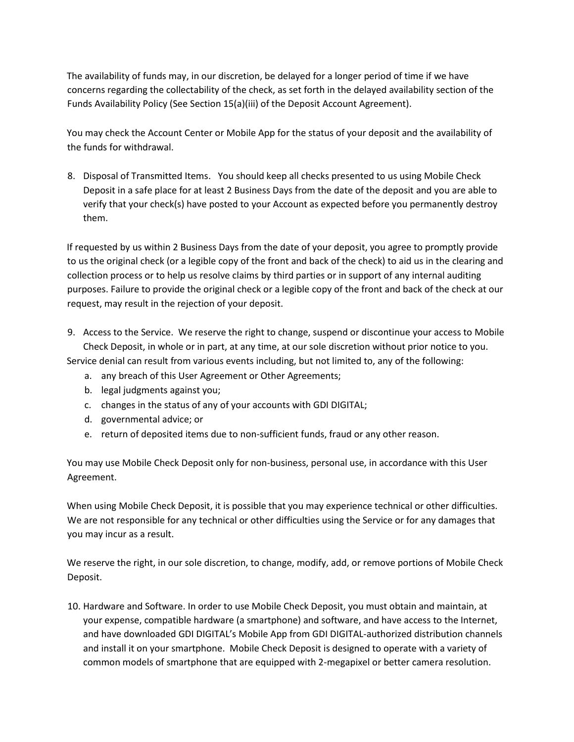The availability of funds may, in our discretion, be delayed for a longer period of time if we have concerns regarding the collectability of the check, as set forth in the delayed availability section of the Funds Availability Policy (See Section 15(a)(iii) of the Deposit Account Agreement).

You may check the Account Center or Mobile App for the status of your deposit and the availability of the funds for withdrawal.

8. Disposal of Transmitted Items. You should keep all checks presented to us using Mobile Check Deposit in a safe place for at least 2 Business Days from the date of the deposit and you are able to verify that your check(s) have posted to your Account as expected before you permanently destroy them.

If requested by us within 2 Business Days from the date of your deposit, you agree to promptly provide to us the original check (or a legible copy of the front and back of the check) to aid us in the clearing and collection process or to help us resolve claims by third parties or in support of any internal auditing purposes. Failure to provide the original check or a legible copy of the front and back of the check at our request, may result in the rejection of your deposit.

- 9. Access to the Service. We reserve the right to change, suspend or discontinue your access to Mobile Check Deposit, in whole or in part, at any time, at our sole discretion without prior notice to you. Service denial can result from various events including, but not limited to, any of the following:
	- a. any breach of this User Agreement or Other Agreements;
	- b. legal judgments against you;
	- c. changes in the status of any of your accounts with GDI DIGITAL;
	- d. governmental advice; or
	- e. return of deposited items due to non-sufficient funds, fraud or any other reason.

You may use Mobile Check Deposit only for non-business, personal use, in accordance with this User Agreement.

When using Mobile Check Deposit, it is possible that you may experience technical or other difficulties. We are not responsible for any technical or other difficulties using the Service or for any damages that you may incur as a result.

We reserve the right, in our sole discretion, to change, modify, add, or remove portions of Mobile Check Deposit.

10. Hardware and Software. In order to use Mobile Check Deposit, you must obtain and maintain, at your expense, compatible hardware (a smartphone) and software, and have access to the Internet, and have downloaded GDI DIGITAL's Mobile App from GDI DIGITAL-authorized distribution channels and install it on your smartphone. Mobile Check Deposit is designed to operate with a variety of common models of smartphone that are equipped with 2-megapixel or better camera resolution.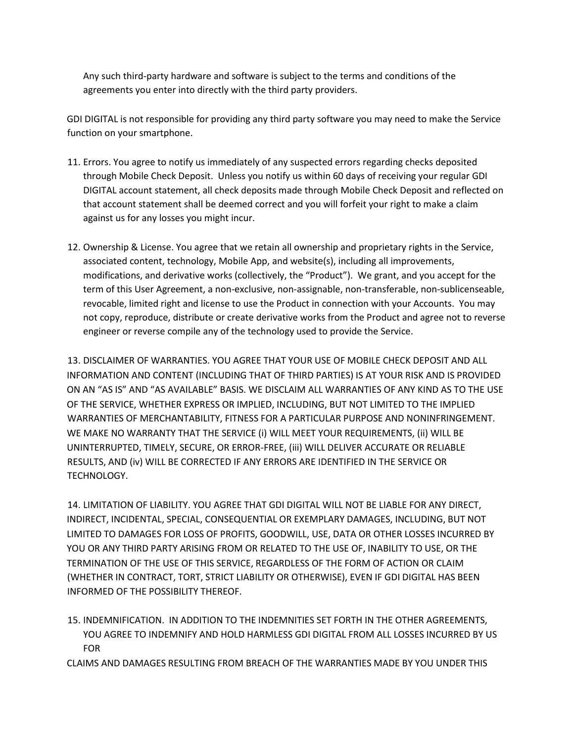Any such third-party hardware and software is subject to the terms and conditions of the agreements you enter into directly with the third party providers.

GDI DIGITAL is not responsible for providing any third party software you may need to make the Service function on your smartphone.

- 11. Errors. You agree to notify us immediately of any suspected errors regarding checks deposited through Mobile Check Deposit. Unless you notify us within 60 days of receiving your regular GDI DIGITAL account statement, all check deposits made through Mobile Check Deposit and reflected on that account statement shall be deemed correct and you will forfeit your right to make a claim against us for any losses you might incur.
- 12. Ownership & License. You agree that we retain all ownership and proprietary rights in the Service, associated content, technology, Mobile App, and website(s), including all improvements, modifications, and derivative works (collectively, the "Product"). We grant, and you accept for the term of this User Agreement, a non-exclusive, non-assignable, non-transferable, non-sublicenseable, revocable, limited right and license to use the Product in connection with your Accounts. You may not copy, reproduce, distribute or create derivative works from the Product and agree not to reverse engineer or reverse compile any of the technology used to provide the Service.

13. DISCLAIMER OF WARRANTIES. YOU AGREE THAT YOUR USE OF MOBILE CHECK DEPOSIT AND ALL INFORMATION AND CONTENT (INCLUDING THAT OF THIRD PARTIES) IS AT YOUR RISK AND IS PROVIDED ON AN "AS IS" AND "AS AVAILABLE" BASIS. WE DISCLAIM ALL WARRANTIES OF ANY KIND AS TO THE USE OF THE SERVICE, WHETHER EXPRESS OR IMPLIED, INCLUDING, BUT NOT LIMITED TO THE IMPLIED WARRANTIES OF MERCHANTABILITY, FITNESS FOR A PARTICULAR PURPOSE AND NONINFRINGEMENT. WE MAKE NO WARRANTY THAT THE SERVICE (i) WILL MEET YOUR REQUIREMENTS, (ii) WILL BE UNINTERRUPTED, TIMELY, SECURE, OR ERROR-FREE, (iii) WILL DELIVER ACCURATE OR RELIABLE RESULTS, AND (iv) WILL BE CORRECTED IF ANY ERRORS ARE IDENTIFIED IN THE SERVICE OR TECHNOLOGY.

14. LIMITATION OF LIABILITY. YOU AGREE THAT GDI DIGITAL WILL NOT BE LIABLE FOR ANY DIRECT, INDIRECT, INCIDENTAL, SPECIAL, CONSEQUENTIAL OR EXEMPLARY DAMAGES, INCLUDING, BUT NOT LIMITED TO DAMAGES FOR LOSS OF PROFITS, GOODWILL, USE, DATA OR OTHER LOSSES INCURRED BY YOU OR ANY THIRD PARTY ARISING FROM OR RELATED TO THE USE OF, INABILITY TO USE, OR THE TERMINATION OF THE USE OF THIS SERVICE, REGARDLESS OF THE FORM OF ACTION OR CLAIM (WHETHER IN CONTRACT, TORT, STRICT LIABILITY OR OTHERWISE), EVEN IF GDI DIGITAL HAS BEEN INFORMED OF THE POSSIBILITY THEREOF.

15. INDEMNIFICATION. IN ADDITION TO THE INDEMNITIES SET FORTH IN THE OTHER AGREEMENTS, YOU AGREE TO INDEMNIFY AND HOLD HARMLESS GDI DIGITAL FROM ALL LOSSES INCURRED BY US FOR

CLAIMS AND DAMAGES RESULTING FROM BREACH OF THE WARRANTIES MADE BY YOU UNDER THIS